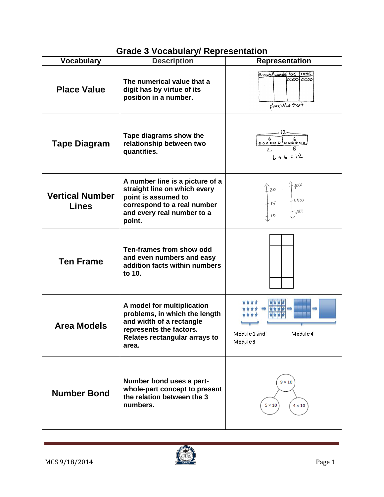| <b>Grade 3 Vocabulary/ Representation</b> |                                                                                                                                                               |                                                                           |  |  |  |
|-------------------------------------------|---------------------------------------------------------------------------------------------------------------------------------------------------------------|---------------------------------------------------------------------------|--|--|--|
| <b>Vocabulary</b>                         | <b>Description</b>                                                                                                                                            | <b>Representation</b>                                                     |  |  |  |
| <b>Place Value</b>                        | The numerical value that a<br>digit has by virtue of its<br>position in a number.                                                                             | <u>oves</u><br>Hransands/humbreds fors<br>000010000<br>place value chart  |  |  |  |
| <b>Tape Diagram</b>                       | Tape diagrams show the<br>relationship between two<br>quantities.                                                                                             | $\begin{array}{c c} & b & b \\ o & o & o & o \end{array}$<br>$6 + 6 = 12$ |  |  |  |
| <b>Vertical Number</b><br><b>Lines</b>    | A number line is a picture of a<br>straight line on which every<br>point is assumed to<br>correspond to a real number<br>and every real number to a<br>point. | $-2000$<br>$\begin{bmatrix} 2 \\ 15 \end{bmatrix}$<br>1,500<br>$+1,000$   |  |  |  |
| <b>Ten Frame</b>                          | Ten-frames from show odd<br>and even numbers and easy<br>addition facts within numbers<br>to 10.                                                              |                                                                           |  |  |  |
| <b>Area Models</b>                        | A model for multiplication<br>problems, in which the length<br>and width of a rectangle<br>represents the factors.<br>Relates rectangular arrays to<br>area.  | City)<br>Module 1 and<br>Module 4<br>Module 3                             |  |  |  |
| <b>Number Bond</b>                        | Number bond uses a part-<br>whole-part concept to present<br>the relation between the 3<br>numbers.                                                           | $9 \times 10$<br>$5 \times 10$<br>$4\times10$                             |  |  |  |

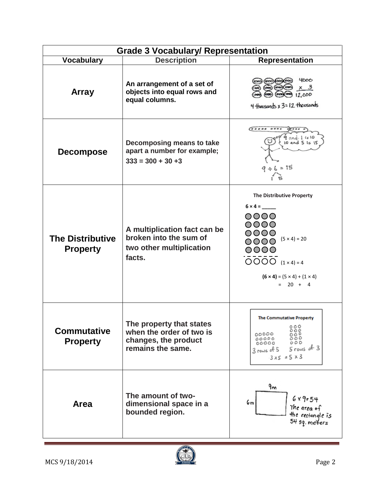| <b>Grade 3 Vocabulary/ Representation</b>  |                                                                                                   |                                                                                                                                                                                                          |  |  |  |
|--------------------------------------------|---------------------------------------------------------------------------------------------------|----------------------------------------------------------------------------------------------------------------------------------------------------------------------------------------------------------|--|--|--|
| <b>Vocabulary</b>                          | <b>Description</b>                                                                                | Representation                                                                                                                                                                                           |  |  |  |
| <b>Array</b>                               | An arrangement of a set of<br>objects into equal rows and<br>equal columns.                       | 4000<br>4 thousands x 3=12 thousands                                                                                                                                                                     |  |  |  |
| <b>Decompose</b>                           | Decomposing means to take<br>apart a number for example;<br>$333 = 300 + 30 + 3$                  | (*****<br>9 and 1 is 10<br>10 and 5 is 15<br>$9 + 6 = 15$                                                                                                                                                |  |  |  |
| <b>The Distributive</b><br><b>Property</b> | A multiplication fact can be<br>broken into the sum of<br>two other multiplication<br>facts.      | The Distributive Property<br>$6 \times 4 =$<br>0000<br>0000<br>$\overline{O}$<br>$(5 × 4) = 20$<br>0000<br>0000<br>$OOOO (1 \times 4) = 4$<br>$(6 \times 4) = (5 \times 4) + (1 \times 4)$<br>$= 20 + 4$ |  |  |  |
| <b>Commutative</b><br><b>Property</b>      | The property that states<br>when the order of two is<br>changes, the product<br>remains the same. | <b>The Commutative Property</b><br>$\frac{8000}{00000}$<br>00000<br>00000<br>000<br>00000<br>$5$ rows of 3<br>$3$ rows of $5$<br>$3\times5 = 5 \times 3$                                                 |  |  |  |
| <b>Area</b>                                | The amount of two-<br>dimensional space in a<br>bounded region.                                   | 9m<br>$6 \times 9 = 54$<br>6m<br>The area of<br>the rectangle is<br>54 sq. me¥ers                                                                                                                        |  |  |  |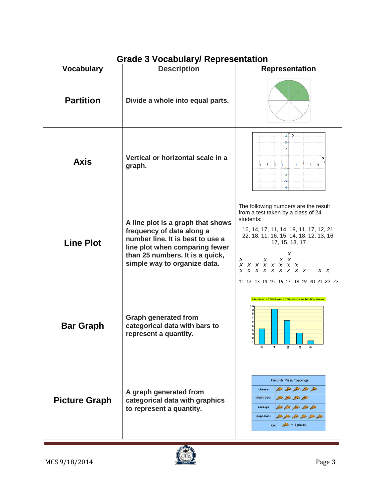| <b>Grade 3 Vocabulary/ Representation</b> |                                                                                                                                                                                                         |                                                                                                                                                                                                                                                                                                                                          |  |  |  |
|-------------------------------------------|---------------------------------------------------------------------------------------------------------------------------------------------------------------------------------------------------------|------------------------------------------------------------------------------------------------------------------------------------------------------------------------------------------------------------------------------------------------------------------------------------------------------------------------------------------|--|--|--|
| <b>Vocabulary</b>                         | <b>Description</b>                                                                                                                                                                                      | Representation                                                                                                                                                                                                                                                                                                                           |  |  |  |
| <b>Partition</b>                          | Divide a whole into equal parts.                                                                                                                                                                        |                                                                                                                                                                                                                                                                                                                                          |  |  |  |
| <b>Axis</b>                               | Vertical or horizontal scale in a<br>graph.                                                                                                                                                             | $4 \pm Y$<br>3<br>$\overline{2}$<br>$-3$<br>$-2$<br>$-1$<br>-1<br>-2<br>$-3$<br>-4                                                                                                                                                                                                                                                       |  |  |  |
| <b>Line Plot</b>                          | A line plot is a graph that shows<br>frequency of data along a<br>number line. It is best to use a<br>line plot when comparing fewer<br>than 25 numbers. It is a quick,<br>simple way to organize data. | The following numbers are the result<br>from a test taken by a class of 24<br>students:<br>16, 14, 17, 11, 14, 19, 11, 17, 12, 21,<br>22, 18, 11, 16, 15, 14, 18, 12, 13, 16,<br>17, 15, 13, 17<br>X<br>X<br>$X \times$<br>$\chi$<br>x x x x x x x x<br><i>x x x x x x x x x</i><br>$X \times$<br>11 12 13 14 15 16 17 18 19 20 21 22 23 |  |  |  |
| <b>Bar Graph</b>                          | <b>Graph generated from</b><br>categorical data with bars to<br>represent a quantity.                                                                                                                   | Number of Siblings of Students in Mr.N's class<br>O<br>2<br>1<br>з                                                                                                                                                                                                                                                                       |  |  |  |
| <b>Picture Graph</b>                      | A graph generated from<br>categorical data with graphics<br>to represent a quantity.                                                                                                                    | <b>Favorite Pizza Toppings</b><br>from the first first first<br>cheese<br>mushroom<br>the fire for the<br>sausage<br>SUPPORTED AND SUPPORTED<br>pepperoni<br>and find you also find the<br>$\triangle$ = 5 pizzas<br>Key                                                                                                                 |  |  |  |